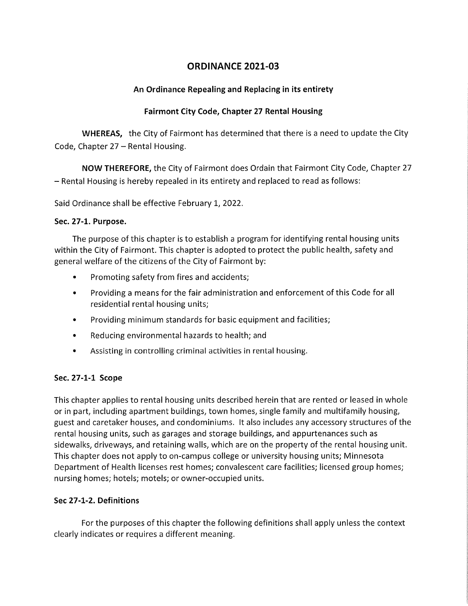# ORDINANCE 2021-03

## An Ordinance Repealing and Replacing in its entirety

## Fairmont City Code, Chapter 27 Rental Housing

WHEREAS, the City of Fairmont has determined that there is a need to update the City Code, Chapter  $27$  – Rental Housing.

NOW THEREFORE, the City of Fairmont does Ordain that Fairmont City Code, Chapter 27 - Rental Housing is hereby repealed in its entirety and replaced to read as follows:

Said Ordinance shall be effective February 1, 2022.

#### Sec. 27-1. Purpose.

The purpose of this chapter is to establish a program for identifying rental housing units within the City of Fairmont. This chapter is adopted to protect the public health, safety and general welfare of the citizens of the City of Fairmont by:

- Promoting safety from fires and accidents;
- Providing a means for the fair administration and enforcement of this Code for all residential rental housing units;
- Providing minimum standards for basic equipment and facilities;
- Reducing environmental hazards to health; and
- Assisting in controlling criminal activities in rental housing.

## Sec. 27-1-1 Scope

This chapter applies to rental housing units described herein that are rented or leased in whole or in part, including apartment buildings, town homes, single family and multifamily housing, guest and caretaker houses, and condominiums. It also includes any accessory structures of the rental housing units, such as garages and storage buildings, and appurtenances such as sidewalks, driveways, and retaining walls, which are on the property of the rental housing unit. This chapter does not apply to on-campus college or university housing units; Minnesota Department of Health licenses rest homes; convalescent care facilities; licensed group homes; nursing homes; hotels; motels; or owner-occupied units.

## Sec 27-1-2. Definitions

For the purposes of this chapter the following definitions shall apply unless the context clearly indicates or requires a different meaning.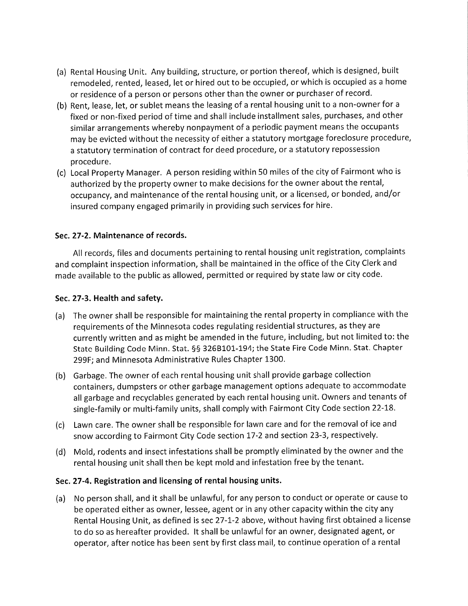- (a) Rental Housing Unit. Any building, structure, or portion thereof, which is designed, built remodeled, rented, leased, let or hired out to be occupied, or which is occupied as a home or residence of a person or persons other than the owner or purchaser of record.
- (b) Rent, lease, let, or sublet means the leasing of a rental housing unit to a non-owner for a fixed or non-fixed period of time and shall include installment sales, purchases, and other similar arrangements whereby nonpayment of a periodic payment means the occupants may be evicted without the necessity of either a statutory mortgage foreclosure procedure, a statutory termination of contract for deed procedure, or a statutory repossession procedure.
- (c) Local Property Manager. A person residing within 50 miles of the city of Fairmont who is authorized by the property owner to make decisions for the owner about the rental, occupancy, and maintenance of the rental housing unit, or a licensed, or bonded, and/or insured company engaged primarily in providing such services for hire.

#### Sec. 27-2. Maintenance of records.

All records, files and documents pertaining to rental housing unit registration, complaints and complaint inspection information, shall be maintained in the office of the City Clerk and made available to the public as allowed, permitted or required by state law or city code.

#### Sec. 27-3. Health and safety.

- (a) The owner shall be responsible for maintaining the rental property in compliance with the requirements of the Minnesota codes regulating residential structures, as they are currently written and as might be amended in the future, including, but not limited to: the State Building Code Minn. Stat. §§ 326B101-194; the State Fire Code Minn. Stat. Chapter 299F; and Minnesota Administrative Rules Chapter 1300.
- (b) Garbage. The owner of each rental housing unit shall provide garbage collection containers, dumpsters or other garbage management options adequate to accommodate all garbage and recyclables generated by each rental housing unit. Owners and tenants of single-family or multi-family units, shall comply with Fairmont City Code section 22-18.
- (c) Lawn care. The owner shall be responsible for lawn care and for the removal of ice and snow according to Fairmont City Code section 17-2 and section 23-3, respectively.
- (d) Mold, rodents and insect infestations shall be promptly eliminated by the owner and the rental housing unit shall then be kept mold and infestation free by the tenant.

#### Sec. 27-4. Registration and licensing of rental housing units.

(a) No person shall, and it shall be unlawful, for any person to conduct or operate or cause to be operated either as owner, lessee, agent or in any other capacity within the city any Rental Housing Unit, as defined is sec 27-1-2 above, without having first obtained a license to do so as hereafter provided. It shall be unlawful for an owner, designated agent, or operator, after notice has been sent by first class mail, to continue operation of a rental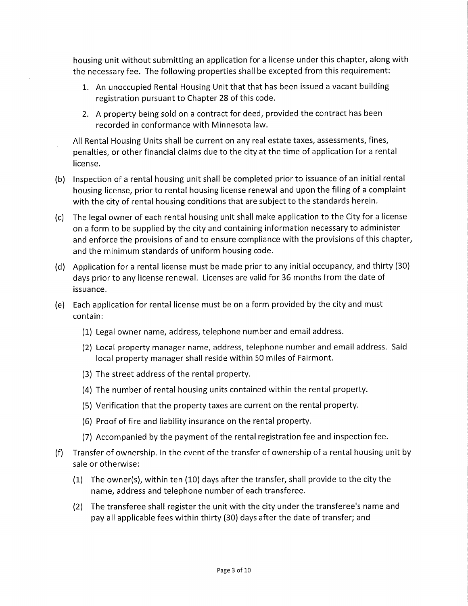housing unit without submitting an application for a license under this chapter, along with the necessary fee. The following properties shall be excepted from this requirement:

- 1. An unoccupied Rental Housing Unit that that has been issued a vacant building registration pursuant to Chapter 28 of this code.
- 2. A property being sold on a contract for deed, provided the contract has been recorded in conformance with Minnesota law.

All Rental Housing Units shall be current on any real estate taxes, assessments, fines, penalties, or other financial claims due to the city at the time of application for a rental license.

- (b) Inspection of a rental housing unit shall be completed prior to issuance of an initial rental housing license, prior to rental housing license renewal and upon the filing of a complaint with the city of rental housing conditions that are subject to the standards herein.
- (c) The legal owner of each rental housing unit shall make application to the City for a license on a form to be supplied by the city and containing information necessary to administer and enforce the provisions of and to ensure compliance with the provisions of this chapter, and the minimum standards of uniform housing code.
- (d) Application for a rental license must be made prior to any initial occupancy, and thirty (30) days prior to any license renewal. Licenses are valid for 36 months from the date of issuance.
- (e) Each application for rental license must be on a form provided by the city and must contain:
	- (1) Legal owner name, address, telephone number and email address.
	- (2) Local property manager name, address, telephone number and email address. Said local property manager shall reside within 50 miles of Fairmont.
	- (3) The street address of the rental property.
	- (4) The number of rental housing units contained within the rental property.
	- (5) Verification that the property taxes are current on the rental property.
	- (6) Proof of fire and liability insurance on the rental property.
	- (7) Accompanied by the payment of the rental registration fee and inspection fee.
- (f) Transfer of ownership. In the event of the transfer of ownership of a rental housing unit by sale or otherwise:
	- (1) The owner(s), within ten (10) days after the transfer, shall provide to the city the name, address and telephone number of each transferee.
	- (2) The transferee shall register the unit with the city under the transferee's name and pay all applicable fees within thirty (30) days after the date of transfer; and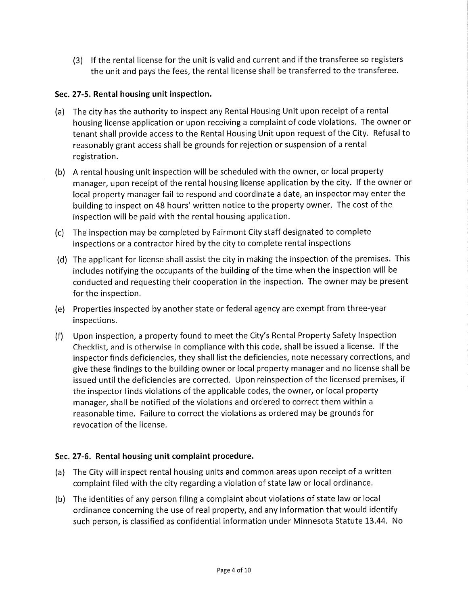(3) If the rental license for the unit is valid and current and if the transferee so registers the unit and pays the fees, the rental license shall be transferred to the transferee.

## Sec. 27-5. Rental housing unit inspection.

- (a) The city has the authority to inspect any Rental Housing Unit upon receipt of a rental housing license application or upon receiving a complaint of code violations. The owner or tenant shall provide access to the Rental Housing Unit upon request of the City. Refusal to reasonably grant access shall be grounds for rejection or suspension of a rental registration.
- (b) A rental housing unit inspection will be scheduled with the owner, or local property manager, upon receipt of the rental housing license application by the city. If the owner or local property manager fail to respond and coordinate a date, an inspector may enter the building to inspect on 48 hours' written notice to the property owner. The cost of the inspection will be paid with the rental housing application.
- (c) The inspection may be completed by Fairmont City staff designated to complete inspections or a contractor hired by the city to complete rental inspections
- (d) The applicant for license shall assist the city in making the inspection of the premises. This includes notifying the occupants of the building of the time when the inspection will be conducted and requesting their cooperation in the inspection. The owner may be present for the inspection.
- (e) Properties inspected by another state or federal agency are exempt from three-year inspections.
- (f) Upon inspection, a property found to meet the City's Rental Property Safety Inspection Checklist, and is otherwise in compliance with this code, shall be issued a license. If the inspector finds deficiencies, they shall list the deficiencies, note necessary corrections, and give these findings to the building owner or local property manager and no license shall be issued until the deficiencies are corrected. Upon reinspection of the licensed premises, if the inspector finds violations of the applicable codes, the owner, or local property manager, shall be notified of the violations and ordered to correct them within a reasonable time. Failure to correct the violations as ordered may be grounds for revocation of the license.

## Sec. 27-6. Rental housing unit complaint procedure.

- (a) The City will inspect rental housing units and common areas upon receipt of a written complaint filed with the city regarding a violation of state law or local ordinance.
- (b) The identities of any person filing a complaint about violations of state law or local ordinance concerning the use of real property, and any information that would identify such person, is classified as confidential information under Minnesota Statute 13.44. No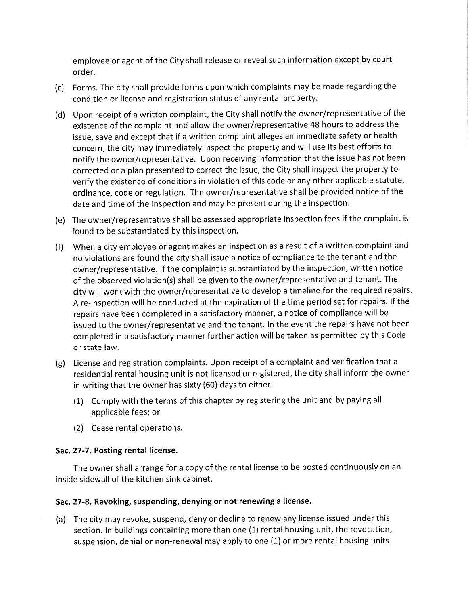employee or agent of the City shall release or reveal such information except by court order.

- (c) Forms. The city shall provide forms upon which complaints may be made regarding the condition or license and registration status of any rental property.
- (d) Upon receipt of a written complaint, the City shall notify the owner/representative of the existence of the complaint and allow the owner/representative 48 hours to address the issue, save and except that if a written complaint alleges an immediate safety or health concern, the city may immediately inspect the property and will use its best efforts to notify the owner/representative. Upon receiving information that the issue has not been corrected or a plan presented to correct the issue, the City shall inspect the property to verify the existence of conditions in violation of this code or any other applicable statute, ordinance, code or regulation. The owner/representative shall be provided notice of the date and time of the inspection and may be present during the inspection.
- (e) The owner/representative shall be assessed appropriate inspection fees if the complaint is found to be substantiated by this inspection.
- (f) When a city employee or agent makes an inspection as a result of a written complaint and no violations are found the city shall issue a notice of compliance to the tenant and the owner/representative. If the complaint is substantiated by the inspection, written notice of the observed violation(s) shall be given to the owner/representative and tenant. The city will work with the owner/representative to develop a timeline for the required repairs. A re-inspection will be conducted at the expiration of the time period set for repairs. If the repairs have been completed in a satisfactory manner, a notice of compliance will be issued to the owner/representative and the tenant. In the event the repairs have not been completed in a satisfactory manner further action will be taken as permitted by this Code or state law.
- (g) License and registration complaints. Upon receipt of a complaint and verification that a residential rental housing unit is not licensed or registered, the city shall inform the owner in writing that the owner has sixty (60) days to either:
	- (1) Comply with the terms of this chapter by registering the unit and by paying all applicable fees; or
	- (2) Cease rental operations.

## Sec. 27-7. Posting rental license.

The owner shall arrange for a copy of the rental license to be posted continuously on an inside sidewall of the kitchen sink cabinet.

## Sec. 27-8. Revoking, suspending, denying or not renewing a license.

(a) The city may revoke, suspend, deny or decline to renew any license issued under this section. In buildings containing more than one (1) rental housing unit, the revocation, suspension, denial or non-renewal may apply to one (1) or more rental housing units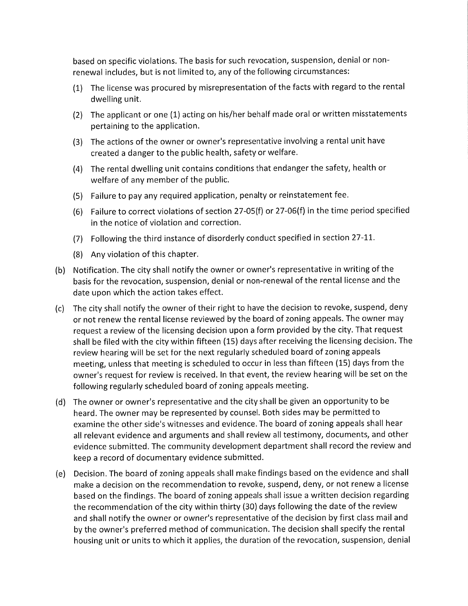based on specific violations. The basis for such revocation, suspension, denial or nonrenewal includes, but is not limited to, any of the following circumstances:

- (1) The license was procured by misrepresentation of the facts with regard to the rental dwelling unit.
- (2) The applicant or one (1) acting on his/her behalf made oral or written misstatements pertaining to the application.
- (3) The actions of the owner or owner's representative involving a rental unit have created a danger to the public health, safety or welfare.
- (4) The rental dwelling unit contains conditions that endanger the safety, health or welfare of any member of the public.
- (5) Failure to pay any required application, penalty or reinstatement fee.
- (6) Failure to correct violations of section 27-05(f) or 27-06(f) in the time period specified in the notice of violation and correction.
- (7) Following the third instance of disorderly conduct specified in section 27-11.
- (8) Any violation of this chapter.
- (b) Notification. The city shall notify the owner or owner's representative in writing of the basis for the revocation, suspension, denial or non-renewal of the rental license and the date upon which the action takes effect.
- (c) The city shall notify the owner of their right to have the decision to revoke, suspend, deny or not renew the rental license reviewed by the board of zoning appeals. The owner may request a review of the licensing decision upon a form provided by the city. That request shall be filed with the city within fifteen (15) days after receiving the licensing decision. The review hearing will be set for the next regularly scheduled board of zoning appeals meeting, unless that meeting is scheduled to occur in less than fifteen (15) days from the owner's request for review is received. In that event, the review hearing will be set on the following regularly scheduled board of zoning appeals meeting.
- (d) The owner or owner's representative and the city shall be given an opportunity to be heard. The owner may be represented by counsel. Both sides may be permitted to examine the other side's witnesses and evidence. The board of zoning appeals shall hear all relevant evidence and arguments and shall review all testimony, documents, and other evidence submitted. The community development department shall record the review and keep a record of documentary evidence submitted.
- (e) Decision. The board of zoning appeals shall make findings based on the evidence and shall make a decision on the recommendation to revoke, suspend, deny, or not renew a license based on the findings. The board of zoning appeals shall issue a written decision regarding the recommendation of the city within thirty (30) days following the date of the review and shall notify the owner or owner's representative of the decision by first class mail and by the owner's preferred method of communication. The decision shall specify the rental housing unit or units to which it applies, the duration of the revocation, suspension, denial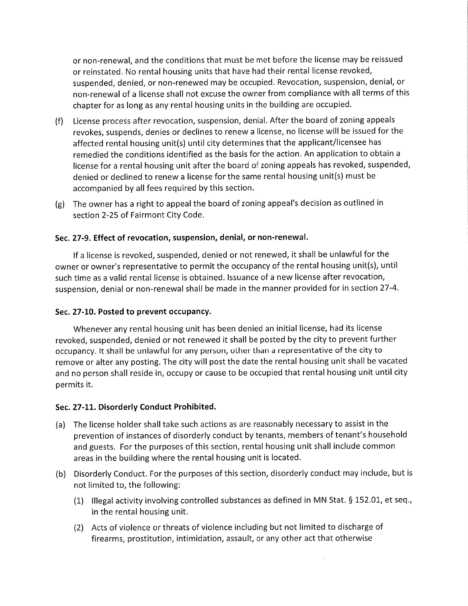or non-renewal, and the conditions that must be met before the license may be reissued or reinstated. No rental housing units that have had their rental license revoked, suspended, denied, or non-renewed may be occupied. Revocation, suspension, denial, or non-renewal of a license shall not excuse the owner from compliance with all terms of this chapter for as long as any rental housing units in the building are occupied.

- (f) License process after revocation, suspension, denial. After the board of zoning appeals revokes, suspends, denies or declines to renew a license, no license will be issued for the affected rental housing unit(s) until city determines that the applicant/licensee has remedied the conditions identified as the basis for the action. An application to obtain a license for a rental housing unit after the board of zoning appeals has revoked, suspended, denied or declined to renew a license for the same rental housing unit(s) must be accompanied by all fees required by this section.
- (g) The owner has a right to appeal the board of zoning appeal's decision as outlined in section 2-25 of Fairmont City Code.

#### Sec. 27-9. Effect of revocation, suspension, denial, or non-renewal.

If a license is revoked, suspended, denied or not renewed, it shall be unlawful for the owner or owner's representative to permit the occupancy of the rental housing unit(s), until such time as a valid rental license is obtained. Issuance of a new license after revocation, suspension, denial or non-renewal shall be made in the manner provided for in section 27-4.

#### Sec. 27-10. Posted to prevent occupancy.

Whenever any rental housing unit has been denied an initial license, had its license revoked, suspended, denied or not renewed it shall be posted by the city to prevent further occupancy. It shall be unlawful for any person, other than a representative of the city to remove or alter any posting. The city will post the date the rental housing unit shall be vacated and no person shall reside in, occupy or cause to be occupied that rental housing unit until city permits it.

#### Sec. 27-11. Disorderly Conduct Prohibited.

- (a) The license holder shall take such actions as are reasonably necessary to assist in the prevention of instances of disorderly conduct by tenants, members of tenant's household and guests. For the purposes of this section, rental housing unit shall include common areas in the building where the rental housing unit is located.
- (b) Disorderly Conduct. For the purposes of this section, disorderly conduct may include, but is not limited to, the following:
	- (1) Illegal activity involving controlled substances as defined in MN Stat. § 152.01, et seq., in the rental housing unit.
	- (2) Acts of violence or threats of violence including but not limited to discharge of firearms, prostitution, intimidation, assault, or any other act that otherwise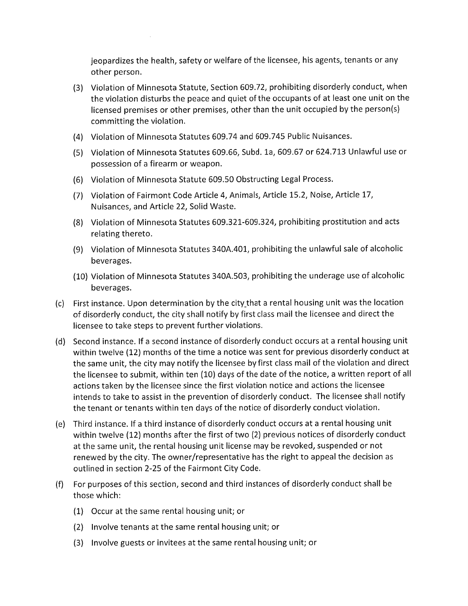jeopardizes the health, safety or welfare of the licensee, his agents, tenants or any other person.

- (3) Violation of Minnesota Statute, Section 609.72, prohibiting disorderly conduct, when the violation disturbs the peace and quiet of the occupants of at least one unit on the licensed premises or other premises, other than the unit occupied by the person(s) committing the violation.
- (4) Violation of Minnesota Statutes 609.74 and 609.745 Public Nuisances.
- (5) Violation of Minnesota Statutes 609.66, Subd. la, 609.67 or 624.713 Unlawful use or possession of a firearm or weapon.
- (6) Violation of Minnesota Statute 609.50 Obstructing Legal Process.
- (7) Violation of Fairmont Code Article 4, Animals, Article 15.2, Noise, Article 17, Nuisances, and Article 22, Solid Waste.
- (8) Violation of Minnesota Statutes 609.321-609.324, prohibiting prostitution and acts relating thereto.
- (9) Violation of Minnesota Statutes 340A.401, prohibiting the unlawful sale of alcoholic beverages.
- (10) Violation of Minnesota Statutes 340A.503, prohibiting the underage use of alcoholic beverages.
- (c) First instance. Upon determination by the city.that a rental housing unit was the location of disorderly conduct, the city shall notify by first class mail the licensee and direct the licensee to take steps to prevent further violations.
- (d) Second instance. If a second instance of disorderly conduct occurs at a rental housing unit within twelve (12) months of the time a notice was sent for previous disorderly conduct at the same unit, the city may notify the licensee by first class mail of the violation and direct the licensee to submit, within ten (10) days of the date of the notice, a written report of all actions taken by the licensee since the first violation notice and actions the licensee intends to take to assist in the prevention of disorderly conduct. The licensee shall notify the tenant or tenants within ten days of the notice of disorderly conduct violation.
- (e) Third instance. If a third instance of disorderly conduct occurs at a rental housing unit within twelve (12) months after the first of two (2) previous notices of disorderly conduct at the same unit, the rental housing unit license may be revoked, suspended or not renewed by the city. The owner/representative has the right to appeal the decision as outlined in section 2-25 of the Fairmont City Code.
- (f) For purposes of this section, second and third instances of disorderly conduct shall be those which:
	- (1) Occur at the same rental housing unit; or
	- (2) Involve tenants at the same rental housing unit; or
	- (3) Involve guests or invitees at the same rental housing unit; or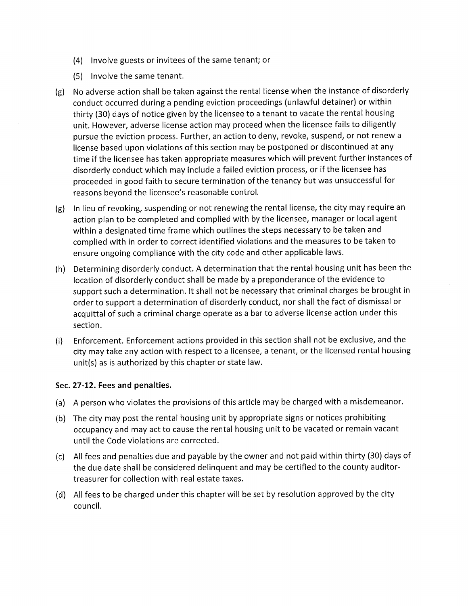- (4) Involve guests or invitees of the same tenant; or
- (5) Involve the same tenant.
- (g) No adverse action shall be taken against the rental license when the instance of disorderly conduct occurred during a pending eviction proceedings (unlawful detainer) or within thirty (30) days of notice given by the licensee to a tenant to vacate the rental housing unit. However, adverse license action may proceed when the licensee fails to diligently pursue the eviction process. Further, an action to deny, revoke, suspend, or not renew a license based upon violations of this section may be postponed or discontinued at any time if the licensee has taken appropriate measures which will prevent further instances of disorderly conduct which may include a failed eviction process, or if the licensee has proceeded in good faith to secure termination of the tenancy but was unsuccessful for reasons beyond the licensee's reasonable control.
- (g) In lieu of revoking, suspending or not renewing the rental license, the city may require an action plan to be completed and complied with by the licensee, manager or local agent within a designated time frame which outlines the steps necessary to be taken and complied with in order to correct identified violations and the measures to be taken to ensure ongoing compliance with the city code and other applicable laws.
- (h) Determining disorderly conduct. A determination that the rental housing unit has been the location of disorderly conduct shall be made by a preponderance of the evidence to support such a determination. It shall not be necessary that criminal charges be brought in order to support a determination of disorderly conduct, nor shall the fact of dismissal or acquittal of such a criminal charge operate as a bar to adverse license action under this section.
- (i) Enforcement. Enforcement actions provided in this section shall not be exclusive, and the city may take any action with respect to a licensee, a tenant, or the licensed rental housing unit(s) as is authorized by this chapter or state law.

#### Sec. 27-12. Fees and penalties.

- (a) A person who violates the provisions of this article may be charged with a misdemeanor.
- (b) The city may post the rental housing unit by appropriate signs or notices prohibiting occupancy and may act to cause the rental housing unit to be vacated or remain vacant until the Code violations are corrected.
- (c) All fees and penalties due and payable by the owner and not paid within thirty (30) days of the due date shall be considered delinquent and may be certified to the county auditortreasurer for collection with real estate taxes.
- (d) All fees to be charged under this chapter will be set by resolution approved by the city council.